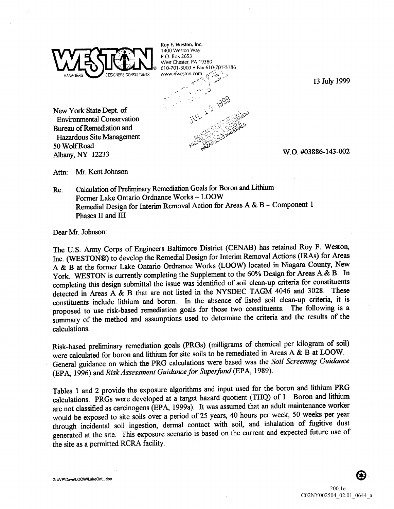

<sup>13</sup> July 1999

Attn: Mr. Kent Johnson

Re: Calculation of Preliminary Remediation Goals for Boron and Lithium Former Lake Ontario Ordnance Works -- LOOW Remedial Design for Interim Removal Action for Areas A & B - Component 1 Phases II and III

Dear Mr. Johnson:

The U.S. Army Corps of Engineers Baltimore District (CENAB) has retained Roy F. Weston, Inc. (WESTON®) to develop the Remedial Design for Interim Removal Actions (IRAs) for Areas A & B at the former Lake Ontario Ordnance Works (LOOW) located in Niagara County, New York. WESTON is currently completing the Supplement to the 60% Design for Areas A & B. In completing this design submittal the issue was identified of soil clean-up criteria for constituents detected in Areas  $\overrightarrow{A}$  & B that are not listed in the NYSDEC TAGM 4046 and 3028. These constituents include lithium and boron. In the absence of listed soil clean-up criteria, it is proposed to use risk-based remediation goals for those two constituents. The following is a summary of the method and assumptions used to determine the criteria and the results of the calculations

Risk-based preliminary remediation goals (PRGs) (milligrams of chemical per kilogram of soil) were calculated for boron and lithium for site soils to be remediated in Areas A & B at LOOW. General guidance on which the PRG calculations were based was the Soil Screening Guidance (EPA, 1996) and Risk Assessment Guidance for Superfund (EPA, 1989).

Tables 1 and 2 provide the exposure algorithms and input used for the boron and lithium PRG calculations. PRGs were developed at a target hazard quotient (THQ) of 1. Boron and lithium are not classified as carcinogens (EPA, 1999a). It was assumed that an adult maintenance worker would be exposed to site soils over a period of 25 years, 40 hours per week, 50 weeks per year through incidental soil ingestion, dermal contact with soil, and inhalation of fugitive dust generated at the site. This exposure scenario is based on the current and expected future use of the site as a permitted RCRA facility.

G:\WP\Dave\LOOW\LakeOnt\_.doc

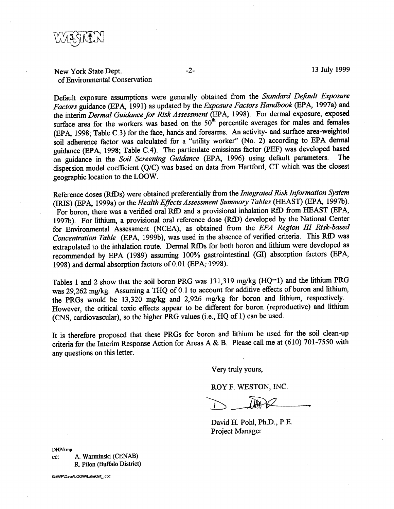

## New York State Dept. 2- 2- 13 July 1999 of Environmental Conservation

Default exposure assumptions were generally obtained from the Standard Default Exposure Factors guidance (EPA, 1991) as updated by the Exposure Factors Handbook (EPA, 1997a) and the interim Dermal Guidance for Risk Assessment (EPA, 1998). For dermal exposure, exposed surface area for the workers was based on the 50<sup>th</sup> percentile averages for males and females (EPA, 1998; Table C.3) for the face, hands and forearms. An activity- and surface area-weighted soil adherence factor was calculated for a "utility worker" (No. 2) according to EPA dermal guidance (EPA, 1998; Table C.4). The particulate emissions factor (PEF) was developed based<br>on guidance in the Soil Screening Guidance (EPA, 1996) using default parameters. The on guidance in the Soil Screening Guidance (EPA, 1996) using default parameters. dispersion model coefficient (Q/C) was based on data from Hartford, CT which was the closest geographic location to the LOOW

Reference doses (RfDs) were obtained preferentially from the Integrated Risk Information System (IRIS) (EPA, 1999a) or the Health Effects Assessment Summary Tables (HEAST) (EPA, 1997b). For boron, there was a verified oral RfD and a provisional inhalation RfD from HEAST (EPA, 1997b). For lithium, a provisional oral reference dose (RfD) developed by the National Center for Environmental Assessment (NCEA), as obtained from the EPA Region III Risk-based Concentration Table (EPA, 1999b), was used in the absence of verified criteria. This RfD was extrapolated to the inhalation route. Dermal RfDs for both boron and lithium were developed as recommended by EPA (1989) assuming 100% gastrointestinal (GI) absorption factors (EPA, 1998) and dermal absorption factors of 0.01 (EPA, 1998).

Tables 1 and 2 show that the soil boron PRG was 131,319 mg/kg (HQ=1) and the lithium PRG was 29,262 mg/kg. Assuming a THQ of 0.1 to account for additive effects of boron and lithium, the PRGs would be  $13,320$  mg/kg and  $2,926$  mg/kg for boron and lithium, respectively. However, the critical toxic effects appear to be different for boron (reproductive) and lithium  $(CNS, \text{cardiovascular})$ , so the higher PRG values (i.e., HQ of 1) can be used.

It is therefore proposed that these PRGs for boron and lithium be used for the soil clean-up criteria for the Interim Response Action for Areas A & B. Please call me at (610) 701-7550 with any questions on this letter

Very truly yours

ROY F. WESTON, INC.

David H. Pohl, Ph.D., P.E. Project Manager

DHP/kmp cc: A. Warminski (CENAB) R. Pilon (Buffalo District)

G:\WP\Dave\LOOW\LakeOnt\_.doc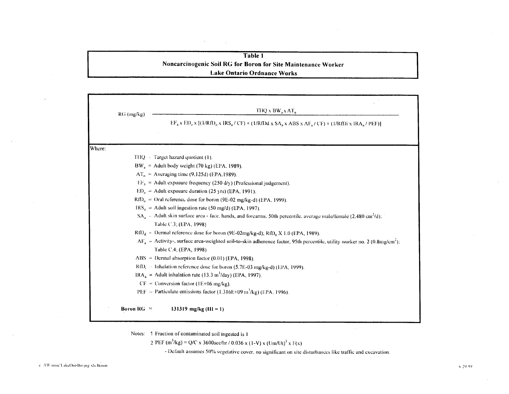## Table 1 Noncarcinogenic Soil RG for Boron for Site Maintenance Worker **Lake Ontario Ordnance Works**

|        | RG (mg/kg) | $THQ \times BW_a \times AT_a$<br>$EF_a$ x $ED_a$ x $[(1/RD_o \times IRS_a / CF) + (1/RfDd \times SA_a \times ABS \times AF_a / CF) + (1/RfDi \times IRA_a / PET)]$ |  |
|--------|------------|--------------------------------------------------------------------------------------------------------------------------------------------------------------------|--|
|        |            |                                                                                                                                                                    |  |
|        |            |                                                                                                                                                                    |  |
| Vhere: |            |                                                                                                                                                                    |  |
|        |            | $THQ = Target hazard quotient (1).$                                                                                                                                |  |
|        |            | $BW_a$ = Adult body weight (70 kg) (EPA, 1989).                                                                                                                    |  |
|        |            | $AT_n$ = Averaging time (9,125d) (EPA,1989).                                                                                                                       |  |
|        |            | $EF_a$ = Adult exposure frequency (250 d/y) (Professional judgement).                                                                                              |  |
|        |            | $EDa =$ Adult exposure duration (25 yrs) (EPA, 1991).                                                                                                              |  |
|        |            | $RfDo =$ Oral reference dose for boron (9E-02 mg/kg-d) (EPA, 1999).                                                                                                |  |
|        |            | $IRSa = Adult soil inspection rate (50 mg/d) (EPA, 1997).$                                                                                                         |  |
|        |            | $SA_a$ – Adult skin surface area - face, hands, and forearms. 50th percentile, average male/female (2.480 cm <sup>2</sup> /d);                                     |  |
|        |            | Table C.3; (EPA, 1998)                                                                                                                                             |  |
|        |            | $RfDd$ – Dermal reference dose for boron (9E-02mg/kg-d); RtD <sub>o</sub> X 1.0 (EPA, 1989).                                                                       |  |
|        |            | $AF_a$ = Activity-, surface area-weighted soil-to-skin adherence factor, 95th percentile, utility worker no. 2 (0.8mg/cm <sup>2</sup> );                           |  |
|        |            | Table C.4; (EPA, 1998)                                                                                                                                             |  |
|        |            | $ABS = Dermal absorption factor (0.01) (EPA, 1998).$                                                                                                               |  |
|        |            | $R1Di$ – Inhalation reference dose for boron (5.7E-03 mg/kg-d) (EPA, 1999).                                                                                        |  |
|        |            | $IRA_a =$ Adult inhalation rate (13.3 m <sup>3</sup> /day) (EPA, 1997).                                                                                            |  |
|        |            | $CF =$ Conversion factor (1E+06 mg/kg).                                                                                                                            |  |
|        |            | PEF = Particulate emissions factor (1.316E+09 m <sup>3</sup> /kg) (EPA, 1996).                                                                                     |  |

Notes: 1 Fraction of contaminated soil ingested is 1

2 PEF (m<sup>3</sup>/kg) = Q/C x 3600sec/hr / 0.036 x (1-V) x (Um/Ut)<sup>3</sup> x F(x)

- Default assumes 50% vegetative cover, no significant on site disturbances like traffic and excavation.

 $\sim$